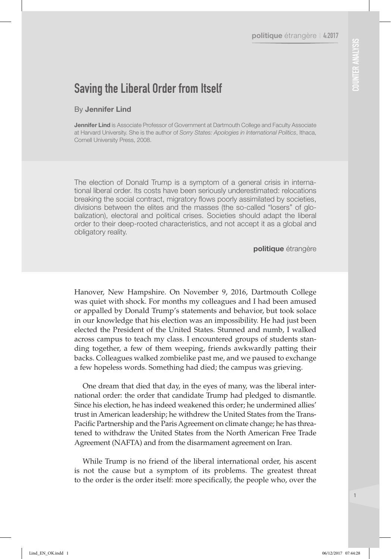# Saving the Liberal Order from Itself

#### By Jennifer Lind

**Jennifer Lind** is Associate Professor of Government at Dartmouth College and Faculty Associate at Harvard University. She is the author of *Sorry States: Apologies in International Politics*, Ithaca, Cornell University Press, 2008.

The election of Donald Trump is a symptom of a general crisis in international liberal order. Its costs have been seriously underestimated: relocations breaking the social contract, migratory flows poorly assimilated by societies, divisions between the elites and the masses (the so-called "losers" of globalization), electoral and political crises. Societies should adapt the liberal order to their deep-rooted characteristics, and not accept it as a global and obligatory reality.

politique étrangère

Hanover, New Hampshire. On November 9, 2016, Dartmouth College was quiet with shock. For months my colleagues and I had been amused or appalled by Donald Trump's statements and behavior, but took solace in our knowledge that his election was an impossibility. He had just been elected the President of the United States. Stunned and numb, I walked across campus to teach my class. I encountered groups of students standing together, a few of them weeping, friends awkwardly patting their backs. Colleagues walked zombielike past me, and we paused to exchange a few hopeless words. Something had died; the campus was grieving.

One dream that died that day, in the eyes of many, was the liberal international order: the order that candidate Trump had pledged to dismantle. Since his election, he has indeed weakened this order; he undermined allies' trust in American leadership; he withdrew the United States from the Trans-Pacific Partnership and the Paris Agreement on climate change; he has threatened to withdraw the United States from the North American Free Trade Agreement (NAFTA) and from the disarmament agreement on Iran.

While Trump is no friend of the liberal international order, his ascent is not the cause but a symptom of its problems. The greatest threat to the order is the order itself: more specifically, the people who, over the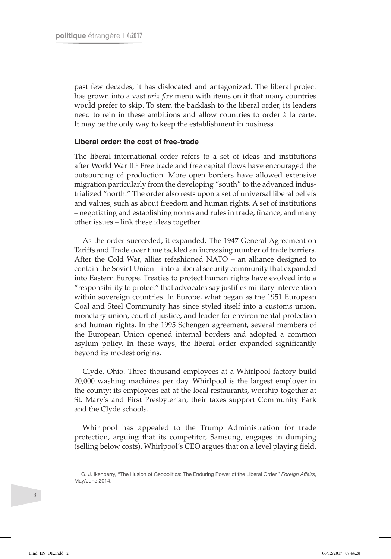past few decades, it has dislocated and antagonized. The liberal project has grown into a vast *prix fixe* menu with items on it that many countries would prefer to skip. To stem the backlash to the liberal order, its leaders need to rein in these ambitions and allow countries to order à la carte. It may be the only way to keep the establishment in business.

#### Liberal order: the cost of free-trade

The liberal international order refers to a set of ideas and institutions after World War II.<sup>1</sup> Free trade and free capital flows have encouraged the outsourcing of production. More open borders have allowed extensive migration particularly from the developing "south" to the advanced industrialized "north." The order also rests upon a set of universal liberal beliefs and values, such as about freedom and human rights. A set of institutions – negotiating and establishing norms and rules in trade, finance, and many other issues – link these ideas together.

As the order succeeded, it expanded. The 1947 General Agreement on Tariffs and Trade over time tackled an increasing number of trade barriers. After the Cold War, allies refashioned NATO – an alliance designed to contain the Soviet Union – into a liberal security community that expanded into Eastern Europe. Treaties to protect human rights have evolved into a "responsibility to protect" that advocates say justifies military intervention within sovereign countries. In Europe, what began as the 1951 European Coal and Steel Community has since styled itself into a customs union, monetary union, court of justice, and leader for environmental protection and human rights. In the 1995 Schengen agreement, several members of the European Union opened internal borders and adopted a common asylum policy. In these ways, the liberal order expanded significantly beyond its modest origins.

Clyde, Ohio. Three thousand employees at a Whirlpool factory build 20,000 washing machines per day. Whirlpool is the largest employer in the county; its employees eat at the local restaurants, worship together at St. Mary's and First Presbyterian; their taxes support Community Park and the Clyde schools.

Whirlpool has appealed to the Trump Administration for trade protection, arguing that its competitor, Samsung, engages in dumping (selling below costs). Whirlpool's CEO argues that on a level playing field,

<sup>1.</sup> G. J. Ikenberry, "The Illusion of Geopolitics: The Enduring Power of the Liberal Order," *Foreign Affairs*, May/June 2014.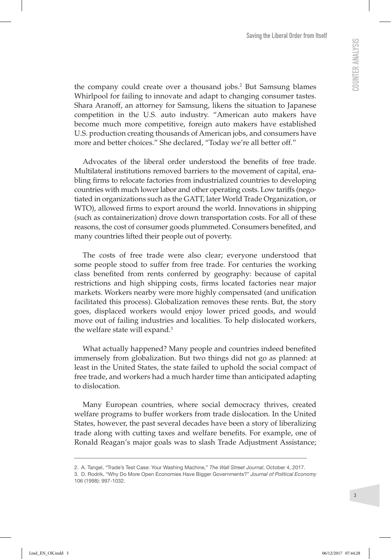the company could create over a thousand jobs.2 But Samsung blames Whirlpool for failing to innovate and adapt to changing consumer tastes. Shara Aranoff, an attorney for Samsung, likens the situation to Japanese competition in the U.S. auto industry. "American auto makers have become much more competitive, foreign auto makers have established U.S. production creating thousands of American jobs, and consumers have more and better choices." She declared, "Today we're all better off."

Advocates of the liberal order understood the benefits of free trade. Multilateral institutions removed barriers to the movement of capital, enabling firms to relocate factories from industrialized countries to developing countries with much lower labor and other operating costs. Low tariffs (negotiated in organizations such as the GATT, later World Trade Organization, or WTO), allowed firms to export around the world. Innovations in shipping (such as containerization) drove down transportation costs. For all of these reasons, the cost of consumer goods plummeted. Consumers benefited, and many countries lifted their people out of poverty.

The costs of free trade were also clear; everyone understood that some people stood to suffer from free trade. For centuries the working class benefited from rents conferred by geography: because of capital restrictions and high shipping costs, firms located factories near major markets. Workers nearby were more highly compensated (and unification facilitated this process). Globalization removes these rents. But, the story goes, displaced workers would enjoy lower priced goods, and would move out of failing industries and localities. To help dislocated workers, the welfare state will expand.<sup>3</sup>

What actually happened? Many people and countries indeed benefited immensely from globalization. But two things did not go as planned: at least in the United States, the state failed to uphold the social compact of free trade, and workers had a much harder time than anticipated adapting to dislocation.

Many European countries, where social democracy thrives, created welfare programs to buffer workers from trade dislocation. In the United States, however, the past several decades have been a story of liberalizing trade along with cutting taxes and welfare benefits. For example, one of Ronald Reagan's major goals was to slash Trade Adjustment Assistance;

<sup>2.</sup> A. Tangel, "Trade's Test Case: Your Washing Machine," *The Wall Street Journal*, October 4, 2017.

<sup>3.</sup> D. Rodrik, "Why Do More Open Economies Have Bigger Governments?" *Journal of Political Economy* 106 (1998): 997-1032.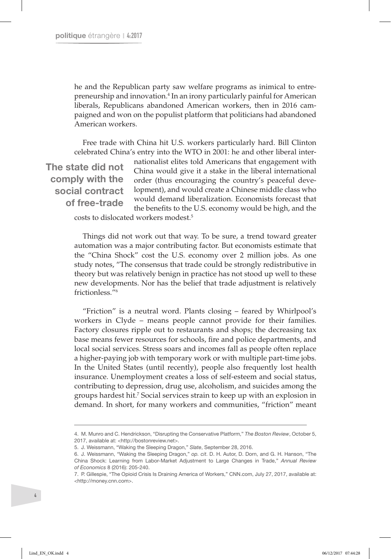he and the Republican party saw welfare programs as inimical to entrepreneurship and innovation.<sup>4</sup> In an irony particularly painful for American liberals, Republicans abandoned American workers, then in 2016 campaigned and won on the populist platform that politicians had abandoned American workers.

Free trade with China hit U.S. workers particularly hard. Bill Clinton celebrated China's entry into the WTO in 2001: he and other liberal inter-

The state did not comply with the social contract of free-trade

nationalist elites told Americans that engagement with China would give it a stake in the liberal international order (thus encouraging the country's peaceful development), and would create a Chinese middle class who would demand liberalization. Economists forecast that the benefits to the U.S. economy would be high, and the

costs to dislocated workers modest.5

Things did not work out that way. To be sure, a trend toward greater automation was a major contributing factor. But economists estimate that the "China Shock" cost the U.S. economy over 2 million jobs. As one study notes, "The consensus that trade could be strongly redistributive in theory but was relatively benign in practice has not stood up well to these new developments. Nor has the belief that trade adjustment is relatively frictionless<sup>"6</sup>

"Friction" is a neutral word. Plants closing – feared by Whirlpool's workers in Clyde – means people cannot provide for their families. Factory closures ripple out to restaurants and shops; the decreasing tax base means fewer resources for schools, fire and police departments, and local social services. Stress soars and incomes fall as people often replace a higher-paying job with temporary work or with multiple part-time jobs. In the United States (until recently), people also frequently lost health insurance. Unemployment creates a loss of self-esteem and social status, contributing to depression, drug use, alcoholism, and suicides among the groups hardest hit.7 Social services strain to keep up with an explosion in demand. In short, for many workers and communities, "friction" meant

<sup>4.</sup> M. Munro and C. Hendrickson, "Disrupting the Conservative Platform," *The Boston Review*, October 5, 2017, available at: [<http://bostonreview.net>](http://bostonreview.net/politics/mark-muro-clara-hendrickson-disrupting-conservative-platform).

<sup>5.</sup> J. Weissmann, "Waking the Sleeping Dragon," *Slate*, September 28, 2016.

<sup>6.</sup> J. Weissmann, "Waking the Sleeping Dragon," *op. cit*. D. H. Autor, D. Dorn, and G. H. Hanson, "The China Shock: Learning from Labor-Market Adjustment to Large Changes in Trade," *Annual Review of Economics* 8 (2016): 205-240.

<sup>7.</sup> P. Gillespie, "The Opioid Crisis Is Draining America of Workers," CNN.com, July 27, 2017, available at: [<http://money.cnn.com>](http://money.cnn.com/2017/07/07/news/economy/opioid-epidemic-job-market/index.html).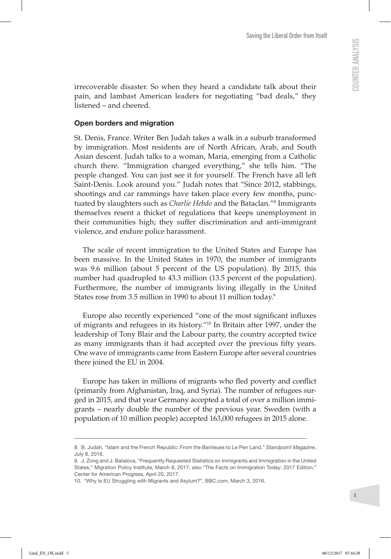irrecoverable disaster. So when they heard a candidate talk about their pain, and lambast American leaders for negotiating "bad deals," they listened – and cheered.

#### Open borders and migration

St. Denis, France. Writer Ben Judah takes a walk in a suburb transformed by immigration. Most residents are of North African, Arab, and South Asian descent. Judah talks to a woman, Maria, emerging from a Catholic church there. "Immigration changed everything," she tells him. "The people changed. You can just see it for yourself. The French have all left Saint-Denis. Look around you." Judah notes that "Since 2012, stabbings, shootings and car rammings have taken place every few months, punctuated by slaughters such as *Charlie Hebdo* and the Bataclan."8 Immigrants themselves resent a thicket of regulations that keeps unemployment in their communities high; they suffer discrimination and anti-immigrant violence, and endure police harassment.

The scale of recent immigration to the United States and Europe has been massive. In the United States in 1970, the number of immigrants was 9.6 million (about 5 percent of the US population). By 2015, this number had quadrupled to 43.3 million (13.5 percent of the population). Furthermore, the number of immigrants living illegally in the United States rose from 3.5 million in 1990 to about 11 million today.9

Europe also recently experienced "one of the most significant influxes of migrants and refugees in its history."10 In Britain after 1997, under the leadership of Tony Blair and the Labour party, the country accepted twice as many immigrants than it had accepted over the previous fifty years. One wave of immigrants came from Eastern Europe after several countries there joined the EU in 2004.

Europe has taken in millions of migrants who fled poverty and conflict (primarily from Afghanistan, Iraq, and Syria). The number of refugees surged in 2015, and that year Germany accepted a total of over a million immigrants – nearly double the number of the previous year. Sweden (with a population of 10 million people) accepted 163,000 refugees in 2015 alone.

<sup>8.</sup> B. Judah, "Islam and the French Republic: From the Banlieues to Le Pen Land," *Standpoint Magazine*, July 8, 2016.

<sup>9.</sup> J. Zong and J. Batalova, "Frequently Requested Statistics on Immigrants and Immigration in the United States," Migration Policy Institute, March 8, 2017; also "The Facts on Immigration Today: 2017 Edition," Center for American Progress, April 20, 2017.

<sup>10.</sup> "Why Is EU Struggling with Migrants and Asylum?", BBC.com, March 3, 2016.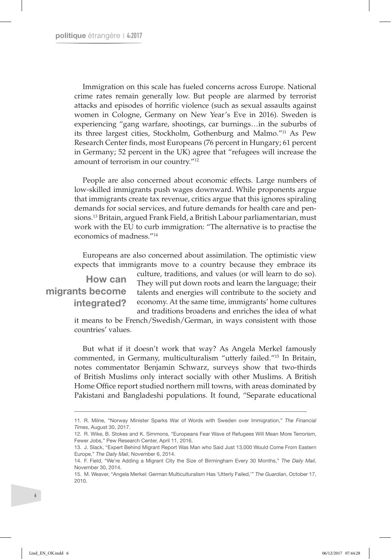Immigration on this scale has fueled concerns across Europe. National crime rates remain generally low. But people are alarmed by terrorist attacks and episodes of horrific violence (such as sexual assaults against women in Cologne, Germany on New Year's Eve in 2016). Sweden is experiencing "gang warfare, shootings, car burnings…in the suburbs of its three largest cities, Stockholm, Gothenburg and Malmo."11 As Pew Research Center finds, most Europeans (76 percent in Hungary; 61 percent in Germany; 52 percent in the UK) agree that "refugees will increase the amount of terrorism in our country."12

People are also concerned about economic effects. Large numbers of low-skilled immigrants push wages downward. While proponents argue that immigrants create tax revenue, critics argue that this ignores spiraling demands for social services, and future demands for health care and pensions.13 Britain, argued Frank Field, a British Labour parliamentarian, must work with the EU to curb immigration: "The alternative is to practise the economics of madness."14

Europeans are also concerned about assimilation. The optimistic view expects that immigrants move to a country because they embrace its

## How can migrants become integrated?

culture, traditions, and values (or will learn to do so). They will put down roots and learn the language; their talents and energies will contribute to the society and economy. At the same time, immigrants' home cultures and traditions broadens and enriches the idea of what

it means to be French/Swedish/German, in ways consistent with those countries' values.

But what if it doesn't work that way? As Angela Merkel famously commented, in Germany, multiculturalism "utterly failed."15 In Britain, notes commentator Benjamin Schwarz, surveys show that two-thirds of British Muslims only interact socially with other Muslims. A British Home Office report studied northern mill towns, with areas dominated by Pakistani and Bangladeshi populations. It found, "Separate educational

<sup>11.</sup> R. Milne, "Norway Minister Sparks War of Words with Sweden over Immigration," *The Financial Times*, August 30, 2017.

<sup>12.</sup> R. Wike, B. Stokes and K. Simmons, "Europeans Fear Wave of Refugees Will Mean More Terrorism, Fewer Jobs," Pew Research Center, April 11, 2016.

<sup>13.</sup> J. Slack, "Expert Behind Migrant Report Was Man who Said Just 13,000 Would Come From Eastern Europe," *The Daily Mail*, November 6, 2014.

<sup>14.</sup> F. Field, "We're Adding a Migrant City the Size of Birmingham Every 30 Months," *The Daily Mail*, November 30, 2014.

<sup>15.</sup> M. Weaver, "Angela Merkel: German Multiculturalism Has 'Utterly Failed,'" *The Guardian*, October 17, 2010.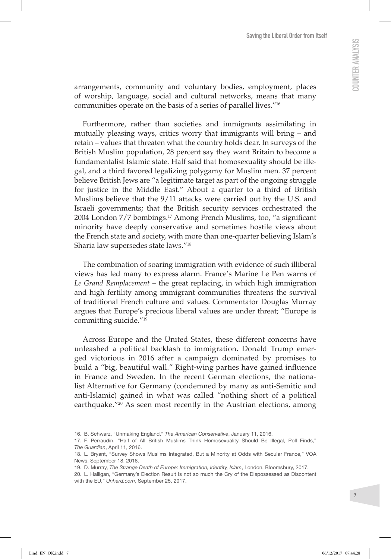arrangements, community and voluntary bodies, employment, places of worship, language, social and cultural networks, means that many communities operate on the basis of a series of parallel lives."16

Furthermore, rather than societies and immigrants assimilating in mutually pleasing ways, critics worry that immigrants will bring – and retain – values that threaten what the country holds dear. In surveys of the British Muslim population, 28 percent say they want Britain to become a fundamentalist Islamic state. Half said that homosexuality should be illegal, and a third favored legalizing polygamy for Muslim men. 37 percent believe British Jews are "a legitimate target as part of the ongoing struggle for justice in the Middle East." About a quarter to a third of British Muslims believe that the 9/11 attacks were carried out by the U.S. and Israeli governments; that the British security services orchestrated the 2004 London 7/7 bombings.17 Among French Muslims, too, "a significant minority have deeply conservative and sometimes hostile views about the French state and society, with more than one-quarter believing Islam's Sharia law supersedes state laws."18

The combination of soaring immigration with evidence of such illiberal views has led many to express alarm. France's Marine Le Pen warns of *Le Grand Remplacement* – the great replacing, in which high immigration and high fertility among immigrant communities threatens the survival of traditional French culture and values. Commentator Douglas Murray argues that Europe's precious liberal values are under threat; "Europe is committing suicide."19

Across Europe and the United States, these different concerns have unleashed a political backlash to immigration. Donald Trump emerged victorious in 2016 after a campaign dominated by promises to build a "big, beautiful wall." Right-wing parties have gained influence in France and Sweden. In the recent German elections, the nationalist Alternative for Germany (condemned by many as anti-Semitic and anti-Islamic) gained in what was called "nothing short of a political earthquake."<sup>20</sup> As seen most recently in the Austrian elections, among

<sup>16.</sup> B. Schwarz, "Unmaking England," *The American Conservative*, January 11, 2016.

<sup>17.</sup> F. Perraudin, "Half of All British Muslims Think Homosexuality Should Be Illegal, Poll Finds," *The Guardian*, April 11, 2016.

<sup>18.</sup> L. Bryant, "Survey Shows Muslims Integrated, But a Minority at Odds with Secular France," VOA News, September 18, 2016.

<sup>19.</sup> D. Murray, *The Strange Death of Europe: Immigration, Identity, Islam*, London, Bloomsbury, 2017.

<sup>20.</sup> L. Halligan, "Germany's Election Result Is not so much the Cry of the Dispossessed as Discontent with the EU," *Unherd.com*, September 25, 2017.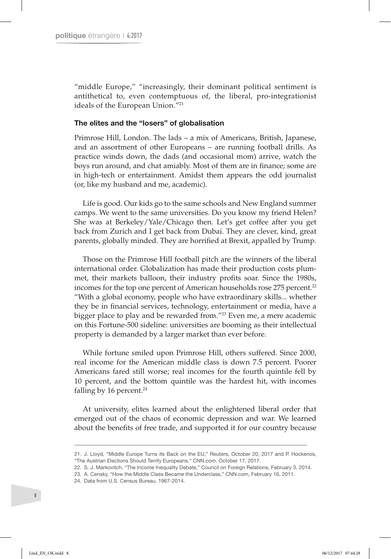"middle Europe," "increasingly, their dominant political sentiment is antithetical to, even contemptuous of, the liberal, pro-integrationist ideals of the European Union."21

#### The elites and the "losers" of globalisation

Primrose Hill, London. The lads – a mix of Americans, British, Japanese, and an assortment of other Europeans – are running football drills. As practice winds down, the dads (and occasional mom) arrive, watch the boys run around, and chat amiably. Most of them are in finance; some are in high-tech or entertainment. Amidst them appears the odd journalist (or, like my husband and me, academic).

Life is good. Our kids go to the same schools and New England summer camps. We went to the same universities. Do you know my friend Helen? She was at Berkeley/Yale/Chicago then. Let's get coffee after you get back from Zurich and I get back from Dubai. They are clever, kind, great parents, globally minded. They are horrified at Brexit, appalled by Trump.

Those on the Primrose Hill football pitch are the winners of the liberal international order. Globalization has made their production costs plummet, their markets balloon, their industry profits soar. Since the 1980s, incomes for the top one percent of American households rose 275 percent.<sup>22</sup> "With a global economy, people who have extraordinary skills... whether they be in financial services, technology, entertainment or media, have a bigger place to play and be rewarded from."23 Even me, a mere academic on this Fortune-500 sideline: universities are booming as their intellectual property is demanded by a larger market than ever before.

While fortune smiled upon Primrose Hill, others suffered. Since 2000, real income for the American middle class is down 7.5 percent. Poorer Americans fared still worse; real incomes for the fourth quintile fell by 10 percent, and the bottom quintile was the hardest hit, with incomes falling by 16 percent.<sup>24</sup>

At university, elites learned about the enlightened liberal order that emerged out of the chaos of economic depression and war. We learned about the benefits of free trade, and supported it for our country because

24. Data from U.S. Census Bureau, 1967-2014.

<sup>21.</sup> J. Lloyd, "Middle Europe Turns its Back on the EU," Reuters, October 20, 2017 and P. Hockenos, "The Austrian Elections Should Terrify Europeans," CNN.com, October 17, 2017.

<sup>22.</sup> S. J. Markovitch, "The Income Inequality Debate," Council on Foreign Relations, February 3, 2014.

<sup>23.</sup> A. Censky, "How the Middle Class Became the Underclass," CNN.com, February 16, 2011.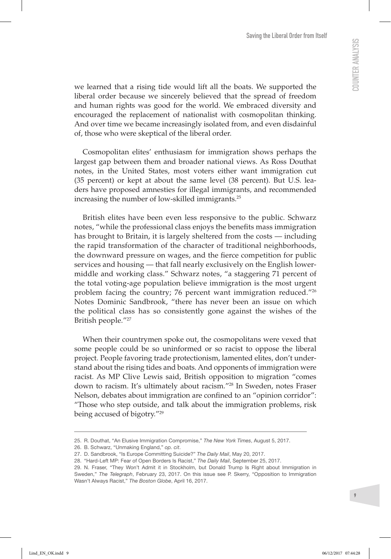we learned that a rising tide would lift all the boats. We supported the liberal order because we sincerely believed that the spread of freedom and human rights was good for the world. We embraced diversity and encouraged the replacement of nationalist with cosmopolitan thinking. And over time we became increasingly isolated from, and even disdainful of, those who were skeptical of the liberal order.

Cosmopolitan elites' enthusiasm for immigration shows perhaps the largest gap between them and broader national views. As Ross Douthat notes, in the United States, most voters either want immigration cut (35 percent) or kept at about the same level (38 percent). But U.S. leaders have proposed amnesties for illegal immigrants, and recommended increasing the number of low-skilled immigrants.25

British elites have been even less responsive to the public. Schwarz notes, "while the professional class enjoys the benefits mass immigration has brought to Britain, it is largely sheltered from the costs — including the rapid transformation of the character of traditional neighborhoods, the downward pressure on wages, and the fierce competition for public services and housing — that fall nearly exclusively on the English lowermiddle and working class." Schwarz notes, "a staggering 71 percent of the total voting-age population believe immigration is the most urgent problem facing the country; 76 percent want immigration reduced."26 Notes Dominic Sandbrook, "there has never been an issue on which the political class has so consistently gone against the wishes of the British people."27

When their countrymen spoke out, the cosmopolitans were vexed that some people could be so uninformed or so racist to oppose the liberal project. People favoring trade protectionism, lamented elites, don't understand about the rising tides and boats. And opponents of immigration were racist. As MP Clive Lewis said, British opposition to migration "comes down to racism. It's ultimately about racism."28 In Sweden, notes Fraser Nelson, debates about immigration are confined to an "opinion corridor": "Those who step outside, and talk about the immigration problems, risk being accused of bigotry."29

<sup>25.</sup> R. Douthat, "An Elusive Immigration Compromise," *The New York Times*, August 5, 2017.

<sup>26.</sup> B. Schwarz, "Unmaking England," *op. cit*.

<sup>27.</sup> D. Sandbrook, "Is Europe Committing Suicide?" *The Daily Mail*, May 20, 2017.

<sup>28.</sup> "Hard-Left MP: Fear of Open Borders Is Racist," *The Daily Mail*, September 25, 2017.

<sup>29.</sup> N. Fraser, "They Won't Admit it in Stockholm, but Donald Trump Is Right about Immigration in Sweden," *The Telegraph*, February 23, 2017. On this issue see P. Skerry, "Opposition to Immigration Wasn't Always Racist," *The Boston Globe*, April 16, 2017.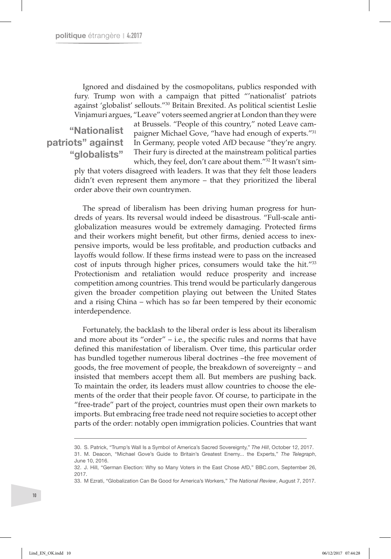Ignored and disdained by the cosmopolitans, publics responded with fury. Trump won with a campaign that pitted "'nationalist' patriots against 'globalist' sellouts."30 Britain Brexited. As political scientist Leslie Vinjamuri argues, "Leave" voters seemed angrier at London than they were

"Nationalist patriots" against "globalists"

at Brussels. "People of this country," noted Leave campaigner Michael Gove, "have had enough of experts."31 In Germany, people voted AfD because "they're angry. Their fury is directed at the mainstream political parties which, they feel, don't care about them."32 It wasn't sim-

ply that voters disagreed with leaders. It was that they felt those leaders didn't even represent them anymore – that they prioritized the liberal order above their own countrymen.

The spread of liberalism has been driving human progress for hundreds of years. Its reversal would indeed be disastrous. "Full-scale antiglobalization measures would be extremely damaging. Protected firms and their workers might benefit, but other firms, denied access to inexpensive imports, would be less profitable, and production cutbacks and layoffs would follow. If these firms instead were to pass on the increased cost of inputs through higher prices, consumers would take the hit."33 Protectionism and retaliation would reduce prosperity and increase competition among countries. This trend would be particularly dangerous given the broader competition playing out between the United States and a rising China – which has so far been tempered by their economic interdependence.

Fortunately, the backlash to the liberal order is less about its liberalism and more about its "order" – i.e., the specific rules and norms that have defined this manifestation of liberalism. Over time, this particular order has bundled together numerous liberal doctrines –the free movement of goods, the free movement of people, the breakdown of sovereignty – and insisted that members accept them all. But members are pushing back. To maintain the order, its leaders must allow countries to choose the elements of the order that their people favor. Of course, to participate in the "free-trade" part of the project, countries must open their own markets to imports. But embracing free trade need not require societies to accept other parts of the order: notably open immigration policies. Countries that want

<sup>30.</sup> S. Patrick, "Trump's Wall Is a Symbol of America's Sacred Sovereignty," *The Hill*, October 12, 2017. 31. M. Deacon, "Michael Gove's Guide to Britain's Greatest Enemy... the Experts," *The Telegraph*, June 10, 2016.

<sup>32.</sup> J. Hill, "German Election: Why so Many Voters in the East Chose AfD," BBC.com, September 26, 2017.

<sup>33.</sup> M Ezrati, "Globalization Can Be Good for America's Workers," *The National Review*, August 7, 2017.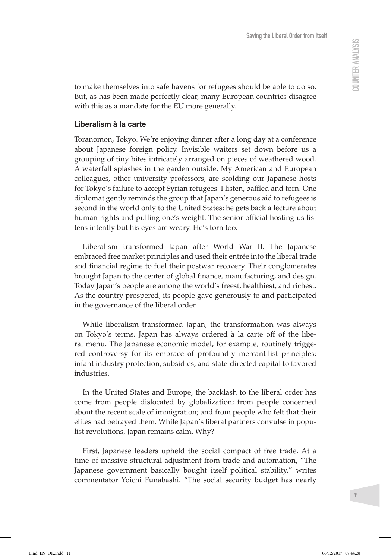to make themselves into safe havens for refugees should be able to do so. But, as has been made perfectly clear, many European countries disagree with this as a mandate for the EU more generally.

#### Liberalism à la carte

Toranomon, Tokyo. We're enjoying dinner after a long day at a conference about Japanese foreign policy. Invisible waiters set down before us a grouping of tiny bites intricately arranged on pieces of weathered wood. A waterfall splashes in the garden outside. My American and European colleagues, other university professors, are scolding our Japanese hosts for Tokyo's failure to accept Syrian refugees. I listen, baffled and torn. One diplomat gently reminds the group that Japan's generous aid to refugees is second in the world only to the United States; he gets back a lecture about human rights and pulling one's weight. The senior official hosting us listens intently but his eyes are weary. He's torn too.

Liberalism transformed Japan after World War II. The Japanese embraced free market principles and used their entrée into the liberal trade and financial regime to fuel their postwar recovery. Their conglomerates brought Japan to the center of global finance, manufacturing, and design. Today Japan's people are among the world's freest, healthiest, and richest. As the country prospered, its people gave generously to and participated in the governance of the liberal order.

While liberalism transformed Japan, the transformation was always on Tokyo's terms. Japan has always ordered à la carte off of the liberal menu. The Japanese economic model, for example, routinely triggered controversy for its embrace of profoundly mercantilist principles: infant industry protection, subsidies, and state-directed capital to favored industries.

In the United States and Europe, the backlash to the liberal order has come from people dislocated by globalization; from people concerned about the recent scale of immigration; and from people who felt that their elites had betrayed them. While Japan's liberal partners convulse in populist revolutions, Japan remains calm. Why?

First, Japanese leaders upheld the social compact of free trade. At a time of massive structural adjustment from trade and automation, "The Japanese government basically bought itself political stability," writes commentator Yoichi Funabashi. "The social security budget has nearly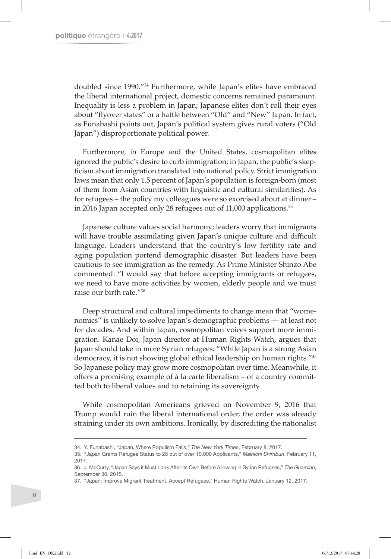doubled since 1990."34 Furthermore, while Japan's elites have embraced the liberal international project, domestic concerns remained paramount. Inequality is less a problem in Japan; Japanese elites don't roll their eyes about "flyover states" or a battle between "Old" and "New" Japan. In fact, as Funabashi points out, Japan's political system gives rural voters ("Old Japan") disproportionate political power.

Furthermore, in Europe and the United States, cosmopolitan elites ignored the public's desire to curb immigration; in Japan, the public's skepticism about immigration translated into national policy. Strict immigration laws mean that only 1.5 percent of Japan's population is foreign-born (most of them from Asian countries with linguistic and cultural similarities). As for refugees – the policy my colleagues were so exorcised about at dinner – in 2016 Japan accepted only 28 refugees out of 11,000 applications.<sup>35</sup>

Japanese culture values social harmony; leaders worry that immigrants will have trouble assimilating given Japan's unique culture and difficult language. Leaders understand that the country's low fertility rate and aging population portend demographic disaster. But leaders have been cautious to see immigration as the remedy. As Prime Minister Shinzo Abe commented: "I would say that before accepting immigrants or refugees, we need to have more activities by women, elderly people and we must raise our birth rate."36

Deep structural and cultural impediments to change mean that "womenomics" is unlikely to solve Japan's demographic problems — at least not for decades. And within Japan, cosmopolitan voices support more immigration. Kanae Doi, Japan director at Human Rights Watch, argues that Japan should take in more Syrian refugees: "While Japan is a strong Asian democracy, it is not showing global ethical leadership on human rights."37 So Japanese policy may grow more cosmopolitan over time. Meanwhile, it offers a promising example of à la carte liberalism – of a country committed both to liberal values and to retaining its sovereignty.

While cosmopolitan Americans grieved on November 9, 2016 that Trump would ruin the liberal international order, the order was already straining under its own ambitions. Ironically, by discrediting the nationalist

<sup>34.</sup> Y. Funabashi, "Japan, Where Populism Fails," *The New York Times*, February 8, 2017.

<sup>35.</sup> "Japan Grants Refugee Status to 28 out of over 10,000 Applicants," *Mainichi Shimbun*, February 11, 2017.

<sup>36.</sup> J. McCurry, "Japan Says it Must Look After its Own Before Allowing in Syrian Refugees," *The Guardian*, September 30, 2015.

<sup>37.</sup> "Japan: Improve Migrant Treatment, Accept Refugees," Human Rights Watch, January 12, 2017.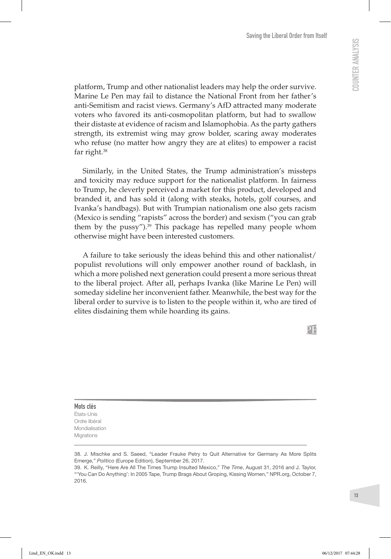platform, Trump and other nationalist leaders may help the order survive. Marine Le Pen may fail to distance the National Front from her father's anti-Semitism and racist views. Germany's AfD attracted many moderate voters who favored its anti-cosmopolitan platform, but had to swallow their distaste at evidence of racism and Islamophobia. As the party gathers strength, its extremist wing may grow bolder, scaring away moderates who refuse (no matter how angry they are at elites) to empower a racist far right.38

Similarly, in the United States, the Trump administration's missteps and toxicity may reduce support for the nationalist platform. In fairness to Trump, he cleverly perceived a market for this product, developed and branded it, and has sold it (along with steaks, hotels, golf courses, and Ivanka's handbags). But with Trumpian nationalism one also gets racism (Mexico is sending "rapists" across the border) and sexism ("you can grab them by the pussy").39 This package has repelled many people whom otherwise might have been interested customers.

A failure to take seriously the ideas behind this and other nationalist/ populist revolutions will only empower another round of backlash, in which a more polished next generation could present a more serious threat to the liberal project. After all, perhaps Ivanka (like Marine Le Pen) will someday sideline her inconvenient father. Meanwhile, the best way for the liberal order to survive is to listen to the people within it, who are tired of elites disdaining them while hoarding its gains.

Mots clés États-Unis Ordre libéral Mondialisation Migrations

<sup>38.</sup> J. Mischke and S. Saeed, "Leader Frauke Petry to Quit Alternative for Germany As More Splits Emerge," *Politico* (Europe Edition), September 26, 2017.

<sup>39.</sup> K. Reilly, "Here Are All The Times Trump Insulted Mexico," *The Time*, August 31, 2016 and J. Taylor, "'You Can Do Anything': In 2005 Tape, Trump Brags About Groping, Kissing Women," NPR.org, October 7, 2016.